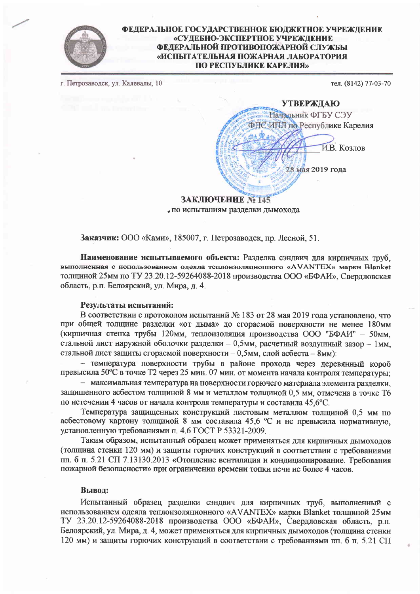

## ФЕДЕРАЛЬНОЕ ГОСУДАРСТВЕННОЕ БЮДЖЕТНОЕ УЧРЕЖДЕНИЕ «СУДЕБНО-ЭКСПЕРТНОЕ УЧРЕЖДЕНИЕ ФЕДЕРАЛЬНОЙ ПРОТИВОПОЖАРНОЙ СЛУЖБЫ «ИСПЫТАТЕЛЬНАЯ ПОЖАРНАЯ ЛАБОРАТОРИЯ ПО РЕСПУБЛИКЕ КАРЕЛИЯ»

г. Петрозаводск, ул. Калевалы, 10

тел. (8142) 77-03-70



# ЗАКЛЮЧЕНИЕ № 145 по испытаниям разделки дымохода

Заказчик: ООО «Ками», 185007, г. Петрозаводск, пр. Лесной, 51.

Наименование испытываемого объекта: Разделка сэндвич для кирпичных труб, выполненная с нспользованием одеяла теплоизоляционного «AVANTEX» марки Blanket толщиной 25мм по ТУ 23.20.12-59264088-2018 произволства ООО «БФАИ». Сверлловская область, р.п. Белоярский, ул. Мира, д. 4.

### Результаты испытаний:

В соответствии с протоколом испытаний № 183 от 28 мая 2019 года установлено, что при общей толщине разделки «от дыма» до сгораемой поверхности не менее 180мм (кирпичная стенка трубы 120мм, теплоизоляция производства ООО "БФАИ" - 50мм. стальной лист наружной оболочки разделки - 0,5мм, расчетный воздушный зазор - 1мм, стальной лист защиты сгораемой поверхности - 0,5мм, слой асбеста - 8мм):

- температура поверхности трубы в районе прохода через деревянный короб превысила 50°С в точке Т2 через 25 мин. 07 мин. от момента начала контроля температуры;

- максимальная температура на поверхности горючего материала элемента разделки, защищенного асбестом толщиной 8 мм и металлом толщиной 0.5 мм, отмечена в точке Т6 по истечении 4 часов от начала контроля температуры и составила 45,6°С.

Температура защищенных конструкций листовым металлом толшиной 0.5 мм по асбестовому картону толщиной 8 мм составила 45.6 °С и не превысила нормативную. установленную требованиями п. 4.6 ГОСТ Р 53321-2009.

Таким образом, испытанный образец может применяться для кирпичных дымоходов (толщина стенки 120 мм) и защиты горючих конструкций в соответствии с требованиями пп. 6 п. 5.21 СП 7.13130.2013 «Отопление вентиляция и кондиционирование. Требования пожарной безопасности» при ограничении времени топки печи не более 4 часов.

#### Вывод:

Испытанный образец разделки сэндвич для кирпичных труб, выполненный с использованием одеяла теплоизоляционного «AVANTEX» марки Blanket толщиной 25мм ТУ 23.20.12-59264088-2018 производства ООО «БФАИ», Свердловская область, р.п. Белоярский, ул. Мира, д. 4, может применяться для кирпичных дымоходов (толшина стенки 120 мм) и защиты горючих конструкций в соответствии с требованиями пп. б п. 5.21 СП